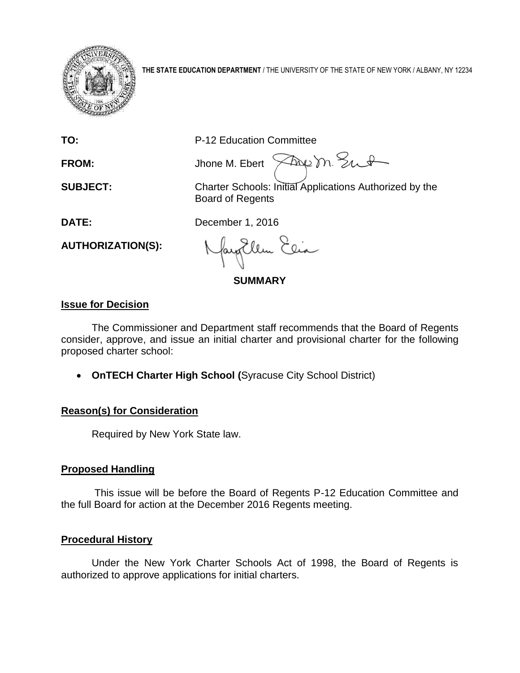

**THE STATE EDUCATION DEPARTMENT** / THE UNIVERSITY OF THE STATE OF NEW YORK / ALBANY, NY 12234

**TO:** P-12 Education Committee

Freem Sut **FROM:** Jhone M. Ebert

**SUBJECT:** Charter Schools: Initial Applications Authorized by the Board of Regents

**DATE:** December 1, 2016

**AUTHORIZATION(S):**

fayillen Elia

**SUMMARY**

# **Issue for Decision**

The Commissioner and Department staff recommends that the Board of Regents consider, approve, and issue an initial charter and provisional charter for the following proposed charter school:

**OnTECH Charter High School (**Syracuse City School District)

# **Reason(s) for Consideration**

Required by New York State law.

# **Proposed Handling**

This issue will be before the Board of Regents P-12 Education Committee and the full Board for action at the December 2016 Regents meeting.

# **Procedural History**

Under the New York Charter Schools Act of 1998, the Board of Regents is authorized to approve applications for initial charters.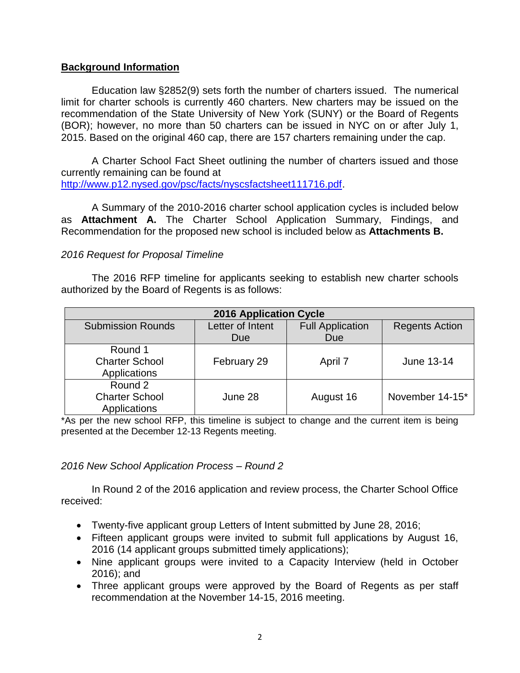## **Background Information**

Education law §2852(9) sets forth the number of charters issued. The numerical limit for charter schools is currently 460 charters. New charters may be issued on the recommendation of the State University of New York (SUNY) or the Board of Regents (BOR); however, no more than 50 charters can be issued in NYC on or after July 1, 2015. Based on the original 460 cap, there are 157 charters remaining under the cap.

A Charter School Fact Sheet outlining the number of charters issued and those currently remaining can be found at [http://www.p12.nysed.gov/psc/facts/nyscsfactsheet111716.pdf.](http://www.p12.nysed.gov/psc/facts/nyscsfactsheet111716.pdf)

A Summary of the 2010-2016 charter school application cycles is included below as **Attachment A.** The Charter School Application Summary, Findings, and Recommendation for the proposed new school is included below as **Attachments B.** 

## *2016 Request for Proposal Timeline*

The 2016 RFP timeline for applicants seeking to establish new charter schools authorized by the Board of Regents is as follows:

| <b>2016 Application Cycle</b>                    |                  |                         |                       |  |  |
|--------------------------------------------------|------------------|-------------------------|-----------------------|--|--|
| <b>Submission Rounds</b>                         | Letter of Intent | <b>Full Application</b> | <b>Regents Action</b> |  |  |
|                                                  | Due              | <b>Due</b>              |                       |  |  |
| Round 1<br><b>Charter School</b><br>Applications | February 29      | April 7                 | June 13-14            |  |  |
| Round 2<br><b>Charter School</b><br>Applications | June 28          | August 16               | November 14-15*       |  |  |

\*As per the new school RFP, this timeline is subject to change and the current item is being presented at the December 12-13 Regents meeting.

## *2016 New School Application Process – Round 2*

In Round 2 of the 2016 application and review process, the Charter School Office received:

- Twenty-five applicant group Letters of Intent submitted by June 28, 2016;
- Fifteen applicant groups were invited to submit full applications by August 16, 2016 (14 applicant groups submitted timely applications);
- Nine applicant groups were invited to a Capacity Interview (held in October 2016); and
- Three applicant groups were approved by the Board of Regents as per staff recommendation at the November 14-15, 2016 meeting.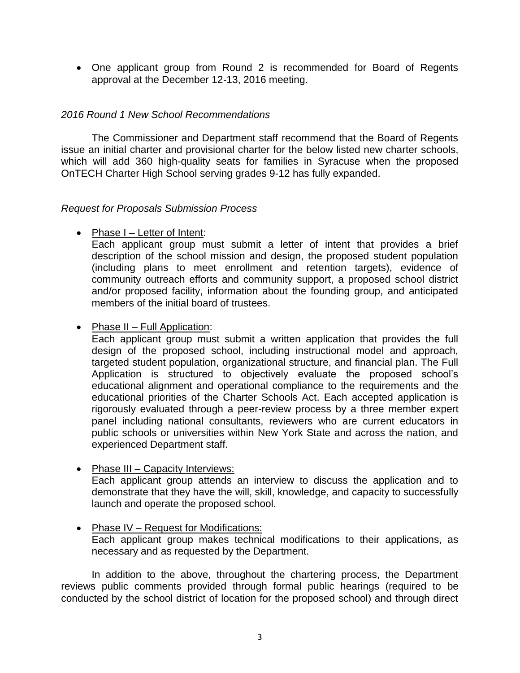One applicant group from Round 2 is recommended for Board of Regents approval at the December 12-13, 2016 meeting.

# *2016 Round 1 New School Recommendations*

The Commissioner and Department staff recommend that the Board of Regents issue an initial charter and provisional charter for the below listed new charter schools, which will add 360 high-quality seats for families in Syracuse when the proposed OnTECH Charter High School serving grades 9-12 has fully expanded.

## *Request for Proposals Submission Process*

• Phase I – Letter of Intent:

Each applicant group must submit a letter of intent that provides a brief description of the school mission and design, the proposed student population (including plans to meet enrollment and retention targets), evidence of community outreach efforts and community support, a proposed school district and/or proposed facility, information about the founding group, and anticipated members of the initial board of trustees.

# • Phase II – Full Application:

Each applicant group must submit a written application that provides the full design of the proposed school, including instructional model and approach, targeted student population, organizational structure, and financial plan. The Full Application is structured to objectively evaluate the proposed school's educational alignment and operational compliance to the requirements and the educational priorities of the Charter Schools Act. Each accepted application is rigorously evaluated through a peer-review process by a three member expert panel including national consultants, reviewers who are current educators in public schools or universities within New York State and across the nation, and experienced Department staff.

# • Phase III – Capacity Interviews:

Each applicant group attends an interview to discuss the application and to demonstrate that they have the will, skill, knowledge, and capacity to successfully launch and operate the proposed school.

#### • Phase IV – Request for Modifications: Each applicant group makes technical modifications to their applications, as necessary and as requested by the Department.

In addition to the above, throughout the chartering process, the Department reviews public comments provided through formal public hearings (required to be conducted by the school district of location for the proposed school) and through direct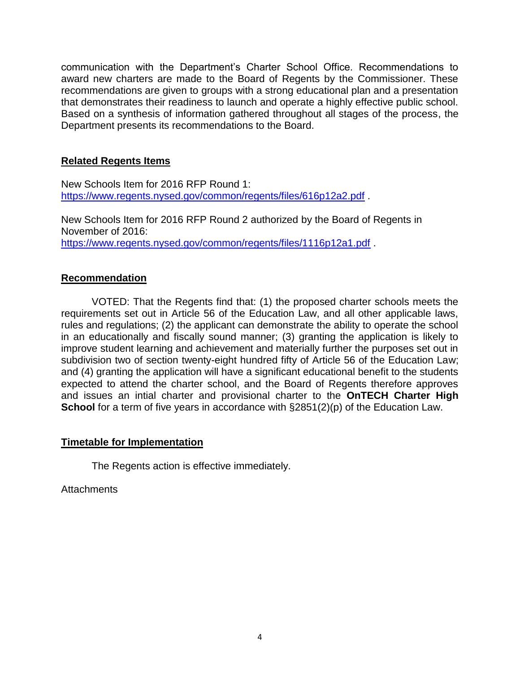communication with the Department's Charter School Office. Recommendations to award new charters are made to the Board of Regents by the Commissioner. These recommendations are given to groups with a strong educational plan and a presentation that demonstrates their readiness to launch and operate a highly effective public school. Based on a synthesis of information gathered throughout all stages of the process, the Department presents its recommendations to the Board.

# **Related Regents Items**

New Schools Item for 2016 RFP Round 1: <https://www.regents.nysed.gov/common/regents/files/616p12a2.pdf> .

New Schools Item for 2016 RFP Round 2 authorized by the Board of Regents in November of 2016: https://www.regents.nysed.gov/common/regents/files/1116p12a1.pdf .

# **Recommendation**

VOTED: That the Regents find that: (1) the proposed charter schools meets the requirements set out in Article 56 of the Education Law, and all other applicable laws, rules and regulations; (2) the applicant can demonstrate the ability to operate the school in an educationally and fiscally sound manner; (3) granting the application is likely to improve student learning and achievement and materially further the purposes set out in subdivision two of section twenty-eight hundred fifty of Article 56 of the Education Law; and (4) granting the application will have a significant educational benefit to the students expected to attend the charter school, and the Board of Regents therefore approves and issues an intial charter and provisional charter to the **OnTECH Charter High School** for a term of five years in accordance with §2851(2)(p) of the Education Law.

## **Timetable for Implementation**

The Regents action is effective immediately.

**Attachments**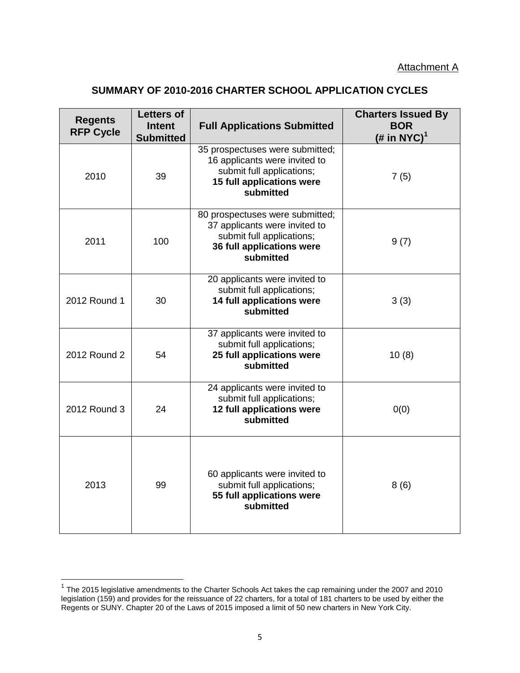# **SUMMARY OF 2010-2016 CHARTER SCHOOL APPLICATION CYCLES**

| <b>Regents</b><br><b>RFP Cycle</b> | <b>Letters of</b><br><b>Intent</b><br><b>Submitted</b> | <b>Full Applications Submitted</b>                                                                                                      | <b>Charters Issued By</b><br><b>BOR</b><br>(# in NYC) <sup>1</sup> |
|------------------------------------|--------------------------------------------------------|-----------------------------------------------------------------------------------------------------------------------------------------|--------------------------------------------------------------------|
| 2010                               | 39                                                     | 35 prospectuses were submitted;<br>16 applicants were invited to<br>submit full applications;<br>15 full applications were<br>submitted | 7(5)                                                               |
| 2011                               | 100                                                    | 80 prospectuses were submitted;<br>37 applicants were invited to<br>submit full applications;<br>36 full applications were<br>submitted | 9(7)                                                               |
| 2012 Round 1                       | 30                                                     | 20 applicants were invited to<br>submit full applications;<br>14 full applications were<br>submitted                                    | 3(3)                                                               |
| 2012 Round 2                       | 54                                                     | 37 applicants were invited to<br>submit full applications;<br>25 full applications were<br>submitted                                    | 10(8)                                                              |
| 2012 Round 3                       | 24                                                     | 24 applicants were invited to<br>submit full applications;<br>12 full applications were<br>submitted                                    | 0(0)                                                               |
| 2013                               | 99                                                     | 60 applicants were invited to<br>submit full applications;<br>55 full applications were<br>submitted                                    | 8(6)                                                               |

 1 The 2015 legislative amendments to the Charter Schools Act takes the cap remaining under the 2007 and 2010 legislation (159) and provides for the reissuance of 22 charters, for a total of 181 charters to be used by either the Regents or SUNY. Chapter 20 of the Laws of 2015 imposed a limit of 50 new charters in New York City.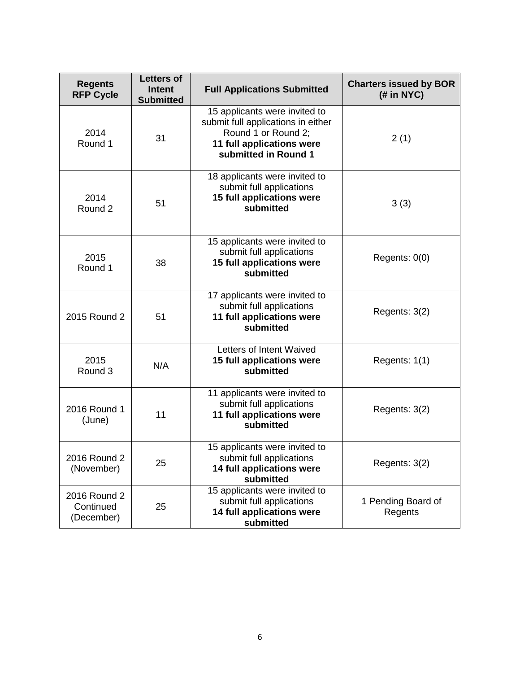| <b>Regents</b><br><b>RFP Cycle</b>      | <b>Letters of</b><br><b>Intent</b><br><b>Submitted</b> | <b>Full Applications Submitted</b>                                                                                                              | <b>Charters issued by BOR</b><br>(H in NYC) |
|-----------------------------------------|--------------------------------------------------------|-------------------------------------------------------------------------------------------------------------------------------------------------|---------------------------------------------|
| 2014<br>Round 1                         | 31                                                     | 15 applicants were invited to<br>submit full applications in either<br>Round 1 or Round 2;<br>11 full applications were<br>submitted in Round 1 | 2(1)                                        |
| 2014<br>Round 2                         | 51                                                     | 18 applicants were invited to<br>submit full applications<br>15 full applications were<br>submitted                                             | 3(3)                                        |
| 2015<br>Round 1                         | 38                                                     | 15 applicants were invited to<br>submit full applications<br>15 full applications were<br>submitted                                             | Regents: 0(0)                               |
| 2015 Round 2                            | 51                                                     | 17 applicants were invited to<br>submit full applications<br>11 full applications were<br>submitted                                             | Regents: 3(2)                               |
| 2015<br>Round 3                         | N/A                                                    | Letters of Intent Waived<br>15 full applications were<br>submitted                                                                              | Regents: 1(1)                               |
| 2016 Round 1<br>(June)                  | 11                                                     | 11 applicants were invited to<br>submit full applications<br>11 full applications were<br>submitted                                             | Regents: 3(2)                               |
| 2016 Round 2<br>(November)              | 25                                                     | 15 applicants were invited to<br>submit full applications<br>14 full applications were<br>submitted                                             | Regents: 3(2)                               |
| 2016 Round 2<br>Continued<br>(December) | 25                                                     | 15 applicants were invited to<br>submit full applications<br>14 full applications were<br>submitted                                             | 1 Pending Board of<br>Regents               |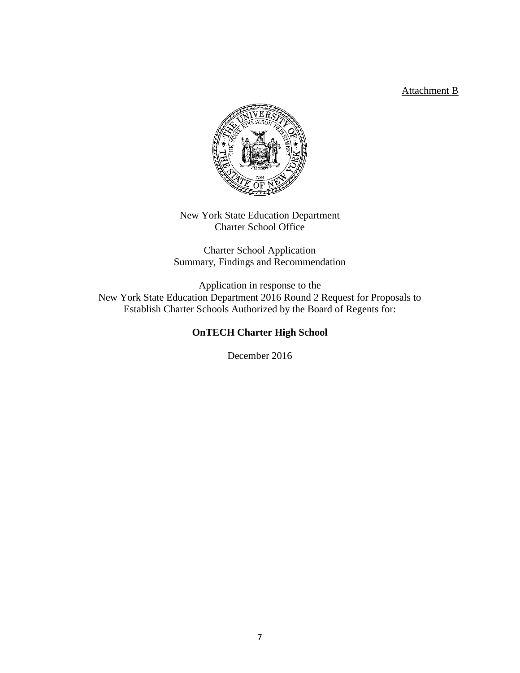## Attachment B



New York State Education Department Charter School Office

Charter School Application Summary, Findings and Recommendation

Application in response to the New York State Education Department 2016 Round 2 Request for Proposals to Establish Charter Schools Authorized by the Board of Regents for:

## **OnTECH Charter High School**

December 2016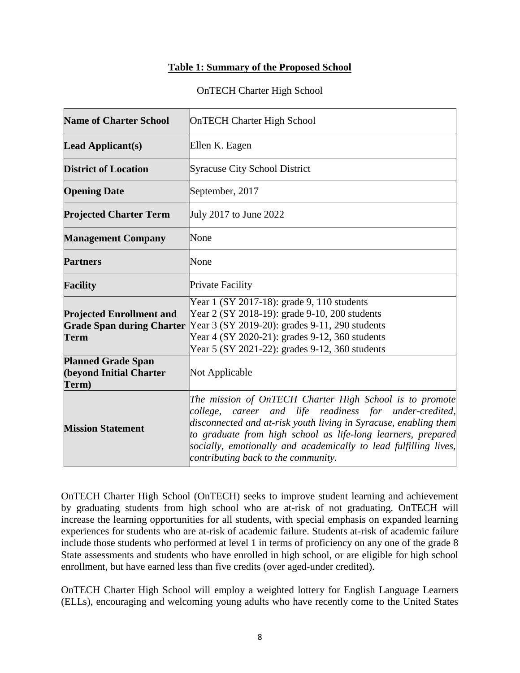#### **Table 1: Summary of the Proposed School**

#### OnTECH Charter High School

| <b>Name of Charter School</b>                                                      | <b>OnTECH Charter High School</b>                                                                                                                                                                                                                                                                                                                                |  |  |
|------------------------------------------------------------------------------------|------------------------------------------------------------------------------------------------------------------------------------------------------------------------------------------------------------------------------------------------------------------------------------------------------------------------------------------------------------------|--|--|
| Lead Applicant $(s)$                                                               | Ellen K. Eagen                                                                                                                                                                                                                                                                                                                                                   |  |  |
| <b>District of Location</b>                                                        | <b>Syracuse City School District</b>                                                                                                                                                                                                                                                                                                                             |  |  |
| <b>Opening Date</b>                                                                | September, 2017                                                                                                                                                                                                                                                                                                                                                  |  |  |
| <b>Projected Charter Term</b>                                                      | July 2017 to June 2022                                                                                                                                                                                                                                                                                                                                           |  |  |
| <b>Management Company</b>                                                          | None                                                                                                                                                                                                                                                                                                                                                             |  |  |
| <b>Partners</b>                                                                    | None                                                                                                                                                                                                                                                                                                                                                             |  |  |
| <b>Facility</b>                                                                    | <b>Private Facility</b>                                                                                                                                                                                                                                                                                                                                          |  |  |
| <b>Projected Enrollment and</b><br><b>Grade Span during Charter</b><br><b>Term</b> | Year 1 (SY 2017-18): grade 9, 110 students<br>Year 2 (SY 2018-19): grade 9-10, 200 students<br>Year 3 (SY 2019-20): grades 9-11, 290 students<br>Year 4 (SY 2020-21): grades 9-12, 360 students<br>Year 5 (SY 2021-22): grades 9-12, 360 students                                                                                                                |  |  |
| <b>Planned Grade Span</b><br>(beyond Initial Charter<br>Term)                      | Not Applicable                                                                                                                                                                                                                                                                                                                                                   |  |  |
| <b>Mission Statement</b>                                                           | The mission of OnTECH Charter High School is to promote<br>college, career and life readiness for under-credited,<br>disconnected and at-risk youth living in Syracuse, enabling them<br>to graduate from high school as life-long learners, prepared<br>socially, emotionally and academically to lead fulfilling lives,<br>contributing back to the community. |  |  |

OnTECH Charter High School (OnTECH) seeks to improve student learning and achievement by graduating students from high school who are at-risk of not graduating. OnTECH will increase the learning opportunities for all students, with special emphasis on expanded learning experiences for students who are at-risk of academic failure. Students at-risk of academic failure include those students who performed at level 1 in terms of proficiency on any one of the grade 8 State assessments and students who have enrolled in high school, or are eligible for high school enrollment, but have earned less than five credits (over aged-under credited).

OnTECH Charter High School will employ a weighted lottery for English Language Learners (ELLs), encouraging and welcoming young adults who have recently come to the United States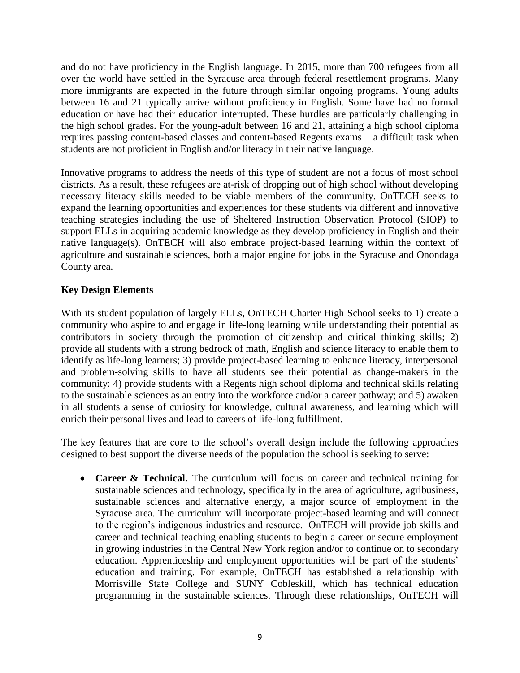and do not have proficiency in the English language. In 2015, more than 700 refugees from all over the world have settled in the Syracuse area through federal resettlement programs. Many more immigrants are expected in the future through similar ongoing programs. Young adults between 16 and 21 typically arrive without proficiency in English. Some have had no formal education or have had their education interrupted. These hurdles are particularly challenging in the high school grades. For the young-adult between 16 and 21, attaining a high school diploma requires passing content-based classes and content-based Regents exams – a difficult task when students are not proficient in English and/or literacy in their native language.

Innovative programs to address the needs of this type of student are not a focus of most school districts. As a result, these refugees are at-risk of dropping out of high school without developing necessary literacy skills needed to be viable members of the community. OnTECH seeks to expand the learning opportunities and experiences for these students via different and innovative teaching strategies including the use of Sheltered Instruction Observation Protocol (SIOP) to support ELLs in acquiring academic knowledge as they develop proficiency in English and their native language(s). OnTECH will also embrace project-based learning within the context of agriculture and sustainable sciences, both a major engine for jobs in the Syracuse and Onondaga County area.

## **Key Design Elements**

With its student population of largely ELLs, OnTECH Charter High School seeks to 1) create a community who aspire to and engage in life-long learning while understanding their potential as contributors in society through the promotion of citizenship and critical thinking skills; 2) provide all students with a strong bedrock of math, English and science literacy to enable them to identify as life-long learners; 3) provide project-based learning to enhance literacy, interpersonal and problem-solving skills to have all students see their potential as change-makers in the community: 4) provide students with a Regents high school diploma and technical skills relating to the sustainable sciences as an entry into the workforce and/or a career pathway; and 5) awaken in all students a sense of curiosity for knowledge, cultural awareness, and learning which will enrich their personal lives and lead to careers of life-long fulfillment.

The key features that are core to the school's overall design include the following approaches designed to best support the diverse needs of the population the school is seeking to serve:

• **Career & Technical.** The curriculum will focus on career and technical training for sustainable sciences and technology, specifically in the area of agriculture, agribusiness, sustainable sciences and alternative energy, a major source of employment in the Syracuse area. The curriculum will incorporate project-based learning and will connect to the region's indigenous industries and resource. OnTECH will provide job skills and career and technical teaching enabling students to begin a career or secure employment in growing industries in the Central New York region and/or to continue on to secondary education. Apprenticeship and employment opportunities will be part of the students' education and training. For example, OnTECH has established a relationship with Morrisville State College and SUNY Cobleskill, which has technical education programming in the sustainable sciences. Through these relationships, OnTECH will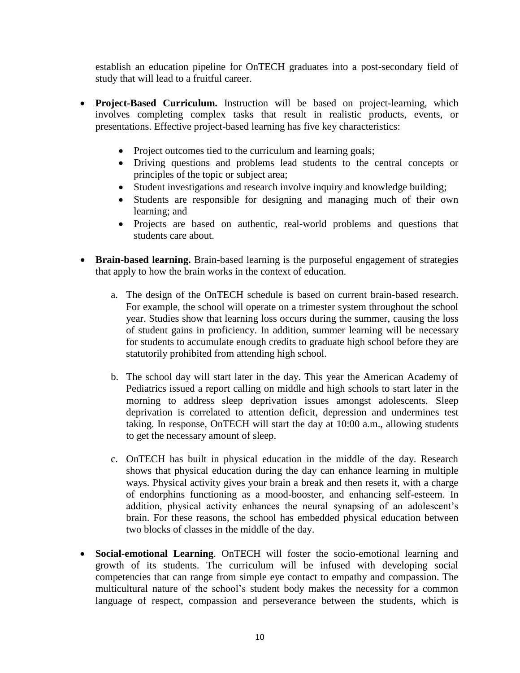establish an education pipeline for OnTECH graduates into a post-secondary field of study that will lead to a fruitful career.

- **Project-Based Curriculum.** Instruction will be based on project-learning, which involves completing complex tasks that result in realistic products, events, or presentations. Effective project-based learning has five key characteristics:
	- Project outcomes tied to the curriculum and learning goals;
	- Driving questions and problems lead students to the central concepts or principles of the topic or subject area;
	- Student investigations and research involve inquiry and knowledge building;
	- Students are responsible for designing and managing much of their own learning; and
	- Projects are based on authentic, real-world problems and questions that students care about.
- **Brain-based learning.** Brain-based learning is the purposeful engagement of strategies that apply to how the brain works in the context of education.
	- a. The design of the OnTECH schedule is based on current brain-based research. For example, the school will operate on a trimester system throughout the school year. Studies show that learning loss occurs during the summer, causing the loss of student gains in proficiency. In addition, summer learning will be necessary for students to accumulate enough credits to graduate high school before they are statutorily prohibited from attending high school.
	- b. The school day will start later in the day. This year the American Academy of Pediatrics issued a report calling on middle and high schools to start later in the morning to address sleep deprivation issues amongst adolescents. Sleep deprivation is correlated to attention deficit, depression and undermines test taking. In response, OnTECH will start the day at 10:00 a.m., allowing students to get the necessary amount of sleep.
	- c. OnTECH has built in physical education in the middle of the day. Research shows that physical education during the day can enhance learning in multiple ways. Physical activity gives your brain a break and then resets it, with a charge of endorphins functioning as a mood-booster, and enhancing self-esteem. In addition, physical activity enhances the neural synapsing of an adolescent's brain. For these reasons, the school has embedded physical education between two blocks of classes in the middle of the day.
- **Social-emotional Learning**. OnTECH will foster the socio-emotional learning and growth of its students. The curriculum will be infused with developing social competencies that can range from simple eye contact to empathy and compassion. The multicultural nature of the school's student body makes the necessity for a common language of respect, compassion and perseverance between the students, which is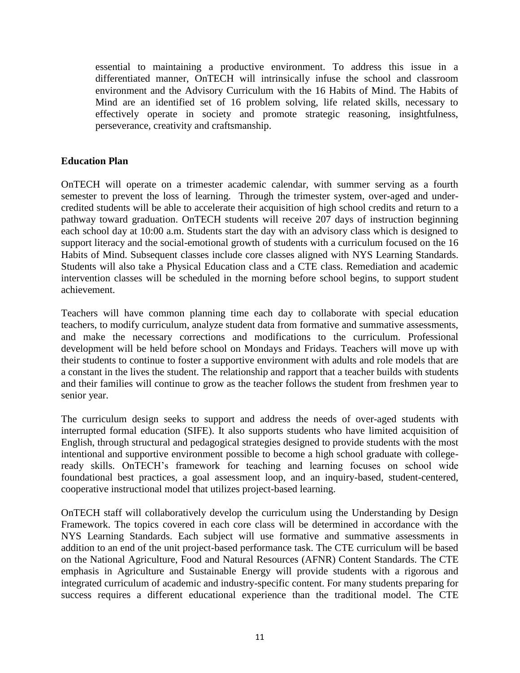essential to maintaining a productive environment. To address this issue in a differentiated manner, OnTECH will intrinsically infuse the school and classroom environment and the Advisory Curriculum with the 16 Habits of Mind. The Habits of Mind are an identified set of 16 problem solving, life related skills, necessary to effectively operate in society and promote strategic reasoning, insightfulness, perseverance, creativity and craftsmanship.

## **Education Plan**

OnTECH will operate on a trimester academic calendar, with summer serving as a fourth semester to prevent the loss of learning. Through the trimester system, over-aged and undercredited students will be able to accelerate their acquisition of high school credits and return to a pathway toward graduation. OnTECH students will receive 207 days of instruction beginning each school day at 10:00 a.m. Students start the day with an advisory class which is designed to support literacy and the social-emotional growth of students with a curriculum focused on the 16 Habits of Mind. Subsequent classes include core classes aligned with NYS Learning Standards. Students will also take a Physical Education class and a CTE class. Remediation and academic intervention classes will be scheduled in the morning before school begins, to support student achievement.

Teachers will have common planning time each day to collaborate with special education teachers, to modify curriculum, analyze student data from formative and summative assessments, and make the necessary corrections and modifications to the curriculum. Professional development will be held before school on Mondays and Fridays. Teachers will move up with their students to continue to foster a supportive environment with adults and role models that are a constant in the lives the student. The relationship and rapport that a teacher builds with students and their families will continue to grow as the teacher follows the student from freshmen year to senior year.

The curriculum design seeks to support and address the needs of over-aged students with interrupted formal education (SIFE). It also supports students who have limited acquisition of English, through structural and pedagogical strategies designed to provide students with the most intentional and supportive environment possible to become a high school graduate with collegeready skills. OnTECH's framework for teaching and learning focuses on school wide foundational best practices, a goal assessment loop, and an inquiry-based, student-centered, cooperative instructional model that utilizes project-based learning.

OnTECH staff will collaboratively develop the curriculum using the Understanding by Design Framework. The topics covered in each core class will be determined in accordance with the NYS Learning Standards. Each subject will use formative and summative assessments in addition to an end of the unit project-based performance task. The CTE curriculum will be based on the National Agriculture, Food and Natural Resources (AFNR) Content Standards. The CTE emphasis in Agriculture and Sustainable Energy will provide students with a rigorous and integrated curriculum of academic and industry-specific content. For many students preparing for success requires a different educational experience than the traditional model. The CTE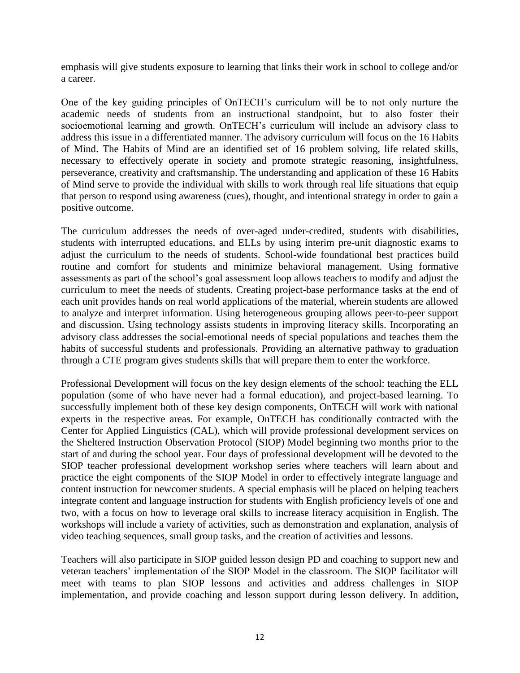emphasis will give students exposure to learning that links their work in school to college and/or a career.

One of the key guiding principles of OnTECH's curriculum will be to not only nurture the academic needs of students from an instructional standpoint, but to also foster their socioemotional learning and growth. OnTECH's curriculum will include an advisory class to address this issue in a differentiated manner. The advisory curriculum will focus on the 16 Habits of Mind. The Habits of Mind are an identified set of 16 problem solving, life related skills, necessary to effectively operate in society and promote strategic reasoning, insightfulness, perseverance, creativity and craftsmanship. The understanding and application of these 16 Habits of Mind serve to provide the individual with skills to work through real life situations that equip that person to respond using awareness (cues), thought, and intentional strategy in order to gain a positive outcome.

The curriculum addresses the needs of over-aged under-credited, students with disabilities, students with interrupted educations, and ELLs by using interim pre-unit diagnostic exams to adjust the curriculum to the needs of students. School-wide foundational best practices build routine and comfort for students and minimize behavioral management. Using formative assessments as part of the school's goal assessment loop allows teachers to modify and adjust the curriculum to meet the needs of students. Creating project-base performance tasks at the end of each unit provides hands on real world applications of the material, wherein students are allowed to analyze and interpret information. Using heterogeneous grouping allows peer-to-peer support and discussion. Using technology assists students in improving literacy skills. Incorporating an advisory class addresses the social-emotional needs of special populations and teaches them the habits of successful students and professionals. Providing an alternative pathway to graduation through a CTE program gives students skills that will prepare them to enter the workforce.

Professional Development will focus on the key design elements of the school: teaching the ELL population (some of who have never had a formal education), and project-based learning. To successfully implement both of these key design components, OnTECH will work with national experts in the respective areas. For example, OnTECH has conditionally contracted with the Center for Applied Linguistics (CAL), which will provide professional development services on the Sheltered Instruction Observation Protocol (SIOP) Model beginning two months prior to the start of and during the school year. Four days of professional development will be devoted to the SIOP teacher professional development workshop series where teachers will learn about and practice the eight components of the SIOP Model in order to effectively integrate language and content instruction for newcomer students. A special emphasis will be placed on helping teachers integrate content and language instruction for students with English proficiency levels of one and two, with a focus on how to leverage oral skills to increase literacy acquisition in English. The workshops will include a variety of activities, such as demonstration and explanation, analysis of video teaching sequences, small group tasks, and the creation of activities and lessons.

Teachers will also participate in SIOP guided lesson design PD and coaching to support new and veteran teachers' implementation of the SIOP Model in the classroom. The SIOP facilitator will meet with teams to plan SIOP lessons and activities and address challenges in SIOP implementation, and provide coaching and lesson support during lesson delivery. In addition,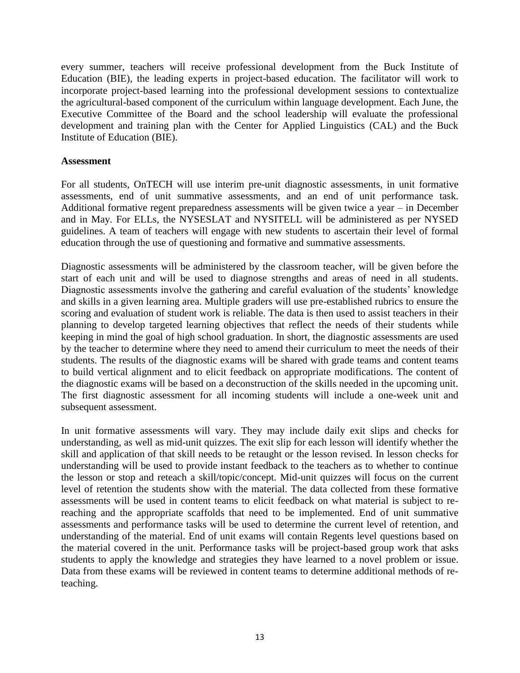every summer, teachers will receive professional development from the Buck Institute of Education (BIE), the leading experts in project-based education. The facilitator will work to incorporate project-based learning into the professional development sessions to contextualize the agricultural-based component of the curriculum within language development. Each June, the Executive Committee of the Board and the school leadership will evaluate the professional development and training plan with the Center for Applied Linguistics (CAL) and the Buck Institute of Education (BIE).

#### **Assessment**

For all students, OnTECH will use interim pre-unit diagnostic assessments, in unit formative assessments, end of unit summative assessments, and an end of unit performance task. Additional formative regent preparedness assessments will be given twice a year – in December and in May. For ELLs, the NYSESLAT and NYSITELL will be administered as per NYSED guidelines. A team of teachers will engage with new students to ascertain their level of formal education through the use of questioning and formative and summative assessments.

Diagnostic assessments will be administered by the classroom teacher, will be given before the start of each unit and will be used to diagnose strengths and areas of need in all students. Diagnostic assessments involve the gathering and careful evaluation of the students' knowledge and skills in a given learning area. Multiple graders will use pre-established rubrics to ensure the scoring and evaluation of student work is reliable. The data is then used to assist teachers in their planning to develop targeted learning objectives that reflect the needs of their students while keeping in mind the goal of high school graduation. In short, the diagnostic assessments are used by the teacher to determine where they need to amend their curriculum to meet the needs of their students. The results of the diagnostic exams will be shared with grade teams and content teams to build vertical alignment and to elicit feedback on appropriate modifications. The content of the diagnostic exams will be based on a deconstruction of the skills needed in the upcoming unit. The first diagnostic assessment for all incoming students will include a one-week unit and subsequent assessment.

In unit formative assessments will vary. They may include daily exit slips and checks for understanding, as well as mid-unit quizzes. The exit slip for each lesson will identify whether the skill and application of that skill needs to be retaught or the lesson revised. In lesson checks for understanding will be used to provide instant feedback to the teachers as to whether to continue the lesson or stop and reteach a skill/topic/concept. Mid-unit quizzes will focus on the current level of retention the students show with the material. The data collected from these formative assessments will be used in content teams to elicit feedback on what material is subject to rereaching and the appropriate scaffolds that need to be implemented. End of unit summative assessments and performance tasks will be used to determine the current level of retention, and understanding of the material. End of unit exams will contain Regents level questions based on the material covered in the unit. Performance tasks will be project-based group work that asks students to apply the knowledge and strategies they have learned to a novel problem or issue. Data from these exams will be reviewed in content teams to determine additional methods of reteaching.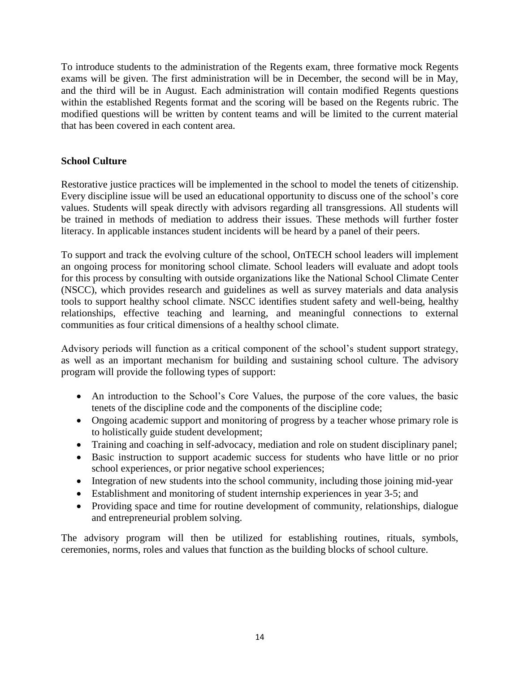To introduce students to the administration of the Regents exam, three formative mock Regents exams will be given. The first administration will be in December, the second will be in May, and the third will be in August. Each administration will contain modified Regents questions within the established Regents format and the scoring will be based on the Regents rubric. The modified questions will be written by content teams and will be limited to the current material that has been covered in each content area.

## **School Culture**

Restorative justice practices will be implemented in the school to model the tenets of citizenship. Every discipline issue will be used an educational opportunity to discuss one of the school's core values. Students will speak directly with advisors regarding all transgressions. All students will be trained in methods of mediation to address their issues. These methods will further foster literacy. In applicable instances student incidents will be heard by a panel of their peers.

To support and track the evolving culture of the school, OnTECH school leaders will implement an ongoing process for monitoring school climate. School leaders will evaluate and adopt tools for this process by consulting with outside organizations like the National School Climate Center (NSCC), which provides research and guidelines as well as survey materials and data analysis tools to support healthy school climate. NSCC identifies student safety and well-being, healthy relationships, effective teaching and learning, and meaningful connections to external communities as four critical dimensions of a healthy school climate.

Advisory periods will function as a critical component of the school's student support strategy, as well as an important mechanism for building and sustaining school culture. The advisory program will provide the following types of support:

- An introduction to the School's Core Values, the purpose of the core values, the basic tenets of the discipline code and the components of the discipline code;
- Ongoing academic support and monitoring of progress by a teacher whose primary role is to holistically guide student development;
- Training and coaching in self-advocacy, mediation and role on student disciplinary panel;
- Basic instruction to support academic success for students who have little or no prior school experiences, or prior negative school experiences;
- Integration of new students into the school community, including those joining mid-year
- Establishment and monitoring of student internship experiences in year 3-5; and
- Providing space and time for routine development of community, relationships, dialogue and entrepreneurial problem solving.

The advisory program will then be utilized for establishing routines, rituals, symbols, ceremonies, norms, roles and values that function as the building blocks of school culture.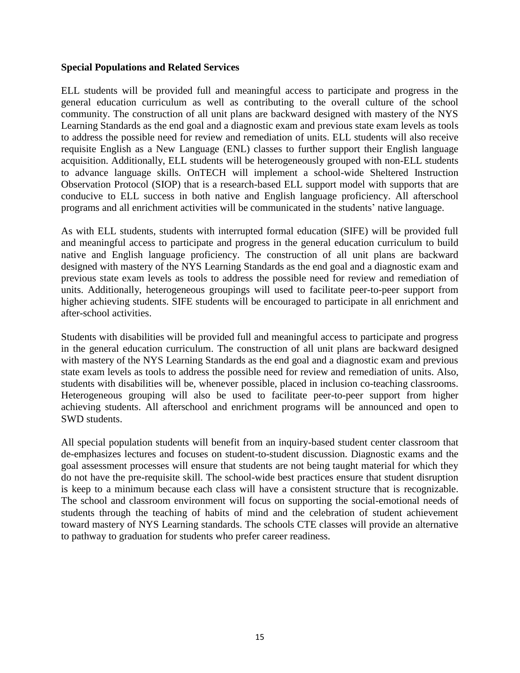#### **Special Populations and Related Services**

ELL students will be provided full and meaningful access to participate and progress in the general education curriculum as well as contributing to the overall culture of the school community. The construction of all unit plans are backward designed with mastery of the NYS Learning Standards as the end goal and a diagnostic exam and previous state exam levels as tools to address the possible need for review and remediation of units. ELL students will also receive requisite English as a New Language (ENL) classes to further support their English language acquisition. Additionally, ELL students will be heterogeneously grouped with non-ELL students to advance language skills. OnTECH will implement a school-wide Sheltered Instruction Observation Protocol (SIOP) that is a research-based ELL support model with supports that are conducive to ELL success in both native and English language proficiency. All afterschool programs and all enrichment activities will be communicated in the students' native language.

As with ELL students, students with interrupted formal education (SIFE) will be provided full and meaningful access to participate and progress in the general education curriculum to build native and English language proficiency. The construction of all unit plans are backward designed with mastery of the NYS Learning Standards as the end goal and a diagnostic exam and previous state exam levels as tools to address the possible need for review and remediation of units. Additionally, heterogeneous groupings will used to facilitate peer-to-peer support from higher achieving students. SIFE students will be encouraged to participate in all enrichment and after-school activities.

Students with disabilities will be provided full and meaningful access to participate and progress in the general education curriculum. The construction of all unit plans are backward designed with mastery of the NYS Learning Standards as the end goal and a diagnostic exam and previous state exam levels as tools to address the possible need for review and remediation of units. Also, students with disabilities will be, whenever possible, placed in inclusion co-teaching classrooms. Heterogeneous grouping will also be used to facilitate peer-to-peer support from higher achieving students. All afterschool and enrichment programs will be announced and open to SWD students.

All special population students will benefit from an inquiry-based student center classroom that de-emphasizes lectures and focuses on student-to-student discussion. Diagnostic exams and the goal assessment processes will ensure that students are not being taught material for which they do not have the pre-requisite skill. The school-wide best practices ensure that student disruption is keep to a minimum because each class will have a consistent structure that is recognizable. The school and classroom environment will focus on supporting the social-emotional needs of students through the teaching of habits of mind and the celebration of student achievement toward mastery of NYS Learning standards. The schools CTE classes will provide an alternative to pathway to graduation for students who prefer career readiness.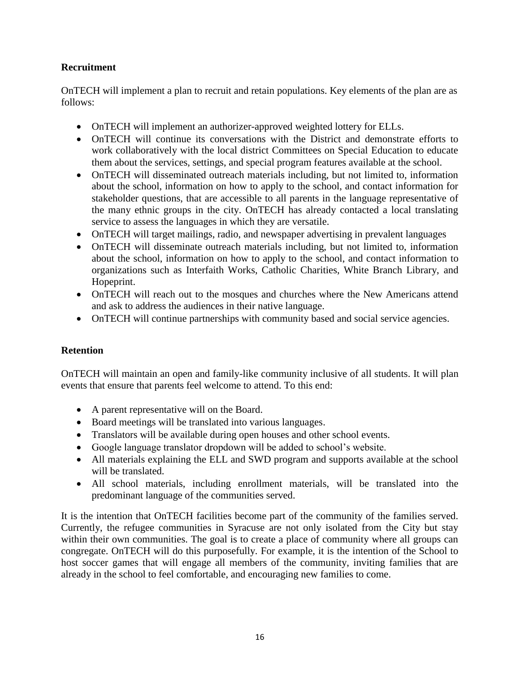## **Recruitment**

OnTECH will implement a plan to recruit and retain populations. Key elements of the plan are as follows:

- OnTECH will implement an authorizer-approved weighted lottery for ELLs.
- OnTECH will continue its conversations with the District and demonstrate efforts to work collaboratively with the local district Committees on Special Education to educate them about the services, settings, and special program features available at the school.
- OnTECH will disseminated outreach materials including, but not limited to, information about the school, information on how to apply to the school, and contact information for stakeholder questions, that are accessible to all parents in the language representative of the many ethnic groups in the city. OnTECH has already contacted a local translating service to assess the languages in which they are versatile.
- OnTECH will target mailings, radio, and newspaper advertising in prevalent languages
- OnTECH will disseminate outreach materials including, but not limited to, information about the school, information on how to apply to the school, and contact information to organizations such as Interfaith Works, Catholic Charities, White Branch Library, and Hopeprint.
- OnTECH will reach out to the mosques and churches where the New Americans attend and ask to address the audiences in their native language.
- OnTECH will continue partnerships with community based and social service agencies.

## **Retention**

OnTECH will maintain an open and family-like community inclusive of all students. It will plan events that ensure that parents feel welcome to attend. To this end:

- A parent representative will on the Board.
- Board meetings will be translated into various languages.
- Translators will be available during open houses and other school events.
- Google language translator dropdown will be added to school's website.
- All materials explaining the ELL and SWD program and supports available at the school will be translated.
- All school materials, including enrollment materials, will be translated into the predominant language of the communities served.

It is the intention that OnTECH facilities become part of the community of the families served. Currently, the refugee communities in Syracuse are not only isolated from the City but stay within their own communities. The goal is to create a place of community where all groups can congregate. OnTECH will do this purposefully. For example, it is the intention of the School to host soccer games that will engage all members of the community, inviting families that are already in the school to feel comfortable, and encouraging new families to come.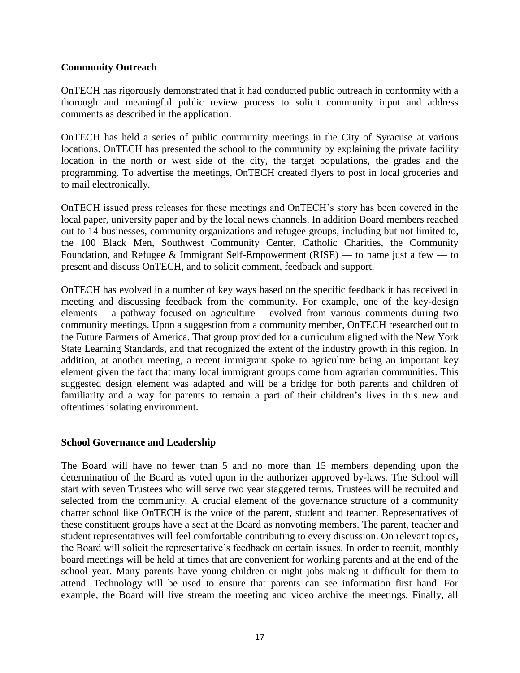#### **Community Outreach**

OnTECH has rigorously demonstrated that it had conducted public outreach in conformity with a thorough and meaningful public review process to solicit community input and address comments as described in the application.

OnTECH has held a series of public community meetings in the City of Syracuse at various locations. OnTECH has presented the school to the community by explaining the private facility location in the north or west side of the city, the target populations, the grades and the programming. To advertise the meetings, OnTECH created flyers to post in local groceries and to mail electronically.

OnTECH issued press releases for these meetings and OnTECH's story has been covered in the local paper, university paper and by the local news channels. In addition Board members reached out to 14 businesses, community organizations and refugee groups, including but not limited to, the 100 Black Men, Southwest Community Center, Catholic Charities, the Community Foundation, and Refugee & Immigrant Self-Empowerment (RISE) — to name just a few — to present and discuss OnTECH, and to solicit comment, feedback and support.

OnTECH has evolved in a number of key ways based on the specific feedback it has received in meeting and discussing feedback from the community. For example, one of the key-design elements – a pathway focused on agriculture – evolved from various comments during two community meetings. Upon a suggestion from a community member, OnTECH researched out to the Future Farmers of America. That group provided for a curriculum aligned with the New York State Learning Standards, and that recognized the extent of the industry growth in this region. In addition, at another meeting, a recent immigrant spoke to agriculture being an important key element given the fact that many local immigrant groups come from agrarian communities. This suggested design element was adapted and will be a bridge for both parents and children of familiarity and a way for parents to remain a part of their children's lives in this new and oftentimes isolating environment.

#### **School Governance and Leadership**

The Board will have no fewer than 5 and no more than 15 members depending upon the determination of the Board as voted upon in the authorizer approved by-laws. The School will start with seven Trustees who will serve two year staggered terms. Trustees will be recruited and selected from the community. A crucial element of the governance structure of a community charter school like OnTECH is the voice of the parent, student and teacher. Representatives of these constituent groups have a seat at the Board as nonvoting members. The parent, teacher and student representatives will feel comfortable contributing to every discussion. On relevant topics, the Board will solicit the representative's feedback on certain issues. In order to recruit, monthly board meetings will be held at times that are convenient for working parents and at the end of the school year. Many parents have young children or night jobs making it difficult for them to attend. Technology will be used to ensure that parents can see information first hand. For example, the Board will live stream the meeting and video archive the meetings. Finally, all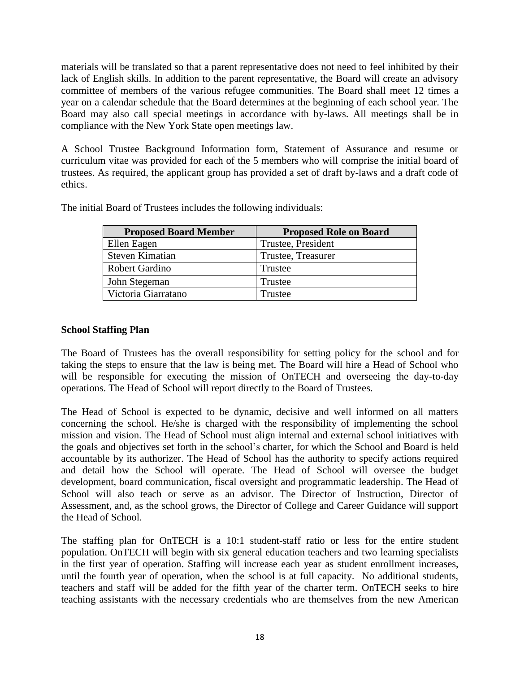materials will be translated so that a parent representative does not need to feel inhibited by their lack of English skills. In addition to the parent representative, the Board will create an advisory committee of members of the various refugee communities. The Board shall meet 12 times a year on a calendar schedule that the Board determines at the beginning of each school year. The Board may also call special meetings in accordance with by-laws. All meetings shall be in compliance with the New York State open meetings law.

A School Trustee Background Information form, Statement of Assurance and resume or curriculum vitae was provided for each of the 5 members who will comprise the initial board of trustees. As required, the applicant group has provided a set of draft by-laws and a draft code of ethics.

| <b>Proposed Board Member</b> | <b>Proposed Role on Board</b> |
|------------------------------|-------------------------------|
| Ellen Eagen                  | Trustee, President            |
| <b>Steven Kimatian</b>       | Trustee, Treasurer            |
| Robert Gardino               | Trustee                       |
| John Stegeman                | Trustee                       |
| Victoria Giarratano          | Trustee                       |

The initial Board of Trustees includes the following individuals:

## **School Staffing Plan**

The Board of Trustees has the overall responsibility for setting policy for the school and for taking the steps to ensure that the law is being met. The Board will hire a Head of School who will be responsible for executing the mission of OnTECH and overseeing the day-to-day operations. The Head of School will report directly to the Board of Trustees.

The Head of School is expected to be dynamic, decisive and well informed on all matters concerning the school. He/she is charged with the responsibility of implementing the school mission and vision. The Head of School must align internal and external school initiatives with the goals and objectives set forth in the school's charter, for which the School and Board is held accountable by its authorizer. The Head of School has the authority to specify actions required and detail how the School will operate. The Head of School will oversee the budget development, board communication, fiscal oversight and programmatic leadership. The Head of School will also teach or serve as an advisor. The Director of Instruction, Director of Assessment, and, as the school grows, the Director of College and Career Guidance will support the Head of School.

The staffing plan for OnTECH is a 10:1 student-staff ratio or less for the entire student population. OnTECH will begin with six general education teachers and two learning specialists in the first year of operation. Staffing will increase each year as student enrollment increases, until the fourth year of operation, when the school is at full capacity. No additional students, teachers and staff will be added for the fifth year of the charter term. OnTECH seeks to hire teaching assistants with the necessary credentials who are themselves from the new American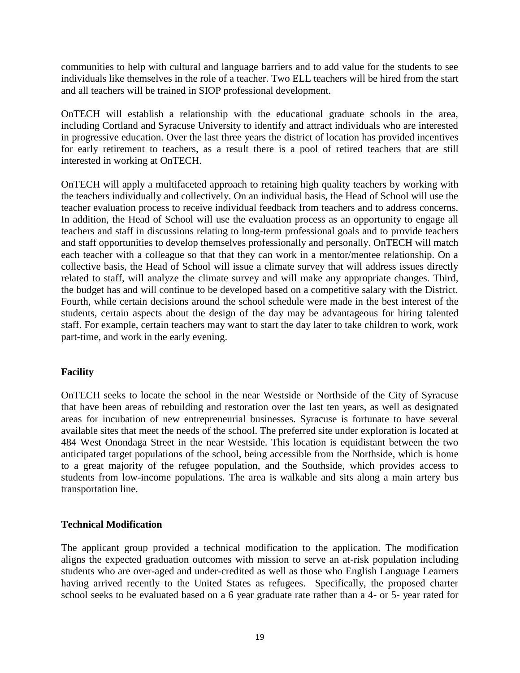communities to help with cultural and language barriers and to add value for the students to see individuals like themselves in the role of a teacher. Two ELL teachers will be hired from the start and all teachers will be trained in SIOP professional development.

OnTECH will establish a relationship with the educational graduate schools in the area, including Cortland and Syracuse University to identify and attract individuals who are interested in progressive education. Over the last three years the district of location has provided incentives for early retirement to teachers, as a result there is a pool of retired teachers that are still interested in working at OnTECH.

OnTECH will apply a multifaceted approach to retaining high quality teachers by working with the teachers individually and collectively. On an individual basis, the Head of School will use the teacher evaluation process to receive individual feedback from teachers and to address concerns. In addition, the Head of School will use the evaluation process as an opportunity to engage all teachers and staff in discussions relating to long-term professional goals and to provide teachers and staff opportunities to develop themselves professionally and personally. OnTECH will match each teacher with a colleague so that that they can work in a mentor/mentee relationship. On a collective basis, the Head of School will issue a climate survey that will address issues directly related to staff, will analyze the climate survey and will make any appropriate changes. Third, the budget has and will continue to be developed based on a competitive salary with the District. Fourth, while certain decisions around the school schedule were made in the best interest of the students, certain aspects about the design of the day may be advantageous for hiring talented staff. For example, certain teachers may want to start the day later to take children to work, work part-time, and work in the early evening.

## **Facility**

OnTECH seeks to locate the school in the near Westside or Northside of the City of Syracuse that have been areas of rebuilding and restoration over the last ten years, as well as designated areas for incubation of new entrepreneurial businesses. Syracuse is fortunate to have several available sites that meet the needs of the school. The preferred site under exploration is located at 484 West Onondaga Street in the near Westside. This location is equidistant between the two anticipated target populations of the school, being accessible from the Northside, which is home to a great majority of the refugee population, and the Southside, which provides access to students from low-income populations. The area is walkable and sits along a main artery bus transportation line.

## **Technical Modification**

The applicant group provided a technical modification to the application. The modification aligns the expected graduation outcomes with mission to serve an at-risk population including students who are over-aged and under-credited as well as those who English Language Learners having arrived recently to the United States as refugees. Specifically, the proposed charter school seeks to be evaluated based on a 6 year graduate rate rather than a 4- or 5- year rated for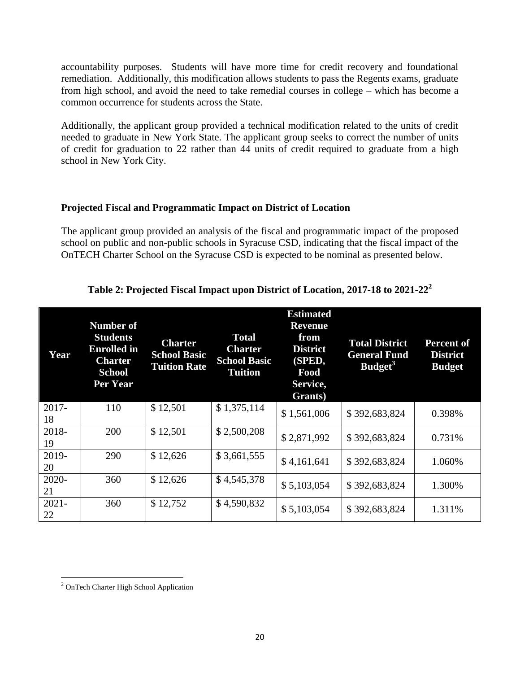accountability purposes. Students will have more time for credit recovery and foundational remediation. Additionally, this modification allows students to pass the Regents exams, graduate from high school, and avoid the need to take remedial courses in college – which has become a common occurrence for students across the State.

Additionally, the applicant group provided a technical modification related to the units of credit needed to graduate in New York State. The applicant group seeks to correct the number of units of credit for graduation to 22 rather than 44 units of credit required to graduate from a high school in New York City.

#### **Projected Fiscal and Programmatic Impact on District of Location**

The applicant group provided an analysis of the fiscal and programmatic impact of the proposed school on public and non-public schools in Syracuse CSD, indicating that the fiscal impact of the OnTECH Charter School on the Syracuse CSD is expected to be nominal as presented below.

# **Table 2: Projected Fiscal Impact upon District of Location, 2017-18 to 2021-22<sup>2</sup>**

| Year           | <b>Number of</b><br><b>Students</b><br><b>Enrolled</b> in<br><b>Charter</b><br><b>School</b><br>Per Year | <b>Charter</b><br><b>School Basic</b><br><b>Tuition Rate</b> | <b>Total</b><br><b>Charter</b><br><b>School Basic</b><br>Tuition | <b>Estimated</b><br><b>Revenue</b><br>from<br><b>District</b><br>(SPED,<br>Food<br>Service,<br>Grants) | <b>Total District</b><br><b>General Fund</b><br>Budget <sup>3</sup> | <b>Percent of</b><br><b>District</b><br><b>Budget</b> |
|----------------|----------------------------------------------------------------------------------------------------------|--------------------------------------------------------------|------------------------------------------------------------------|--------------------------------------------------------------------------------------------------------|---------------------------------------------------------------------|-------------------------------------------------------|
| $2017 -$<br>18 | 110                                                                                                      | \$12,501                                                     | \$1,375,114                                                      | \$1,561,006                                                                                            | \$392,683,824                                                       | 0.398%                                                |
| 2018-<br>19    | 200                                                                                                      | \$12,501                                                     | \$2,500,208                                                      | \$2,871,992                                                                                            | \$392,683,824                                                       | 0.731\%                                               |
| 2019-<br>20    | 290                                                                                                      | \$12,626                                                     | \$3,661,555                                                      | \$4,161,641                                                                                            | \$392,683,824                                                       | 1.060\%                                               |
| $2020 -$<br>21 | 360                                                                                                      | \$12,626                                                     | \$4,545,378                                                      | \$5,103,054                                                                                            | \$392,683,824                                                       | 1.300%                                                |
| $2021 -$<br>22 | 360                                                                                                      | \$12,752                                                     | \$4,590,832                                                      | \$5,103,054                                                                                            | \$392,683,824                                                       | 1.311%                                                |

 $\overline{a}$ <sup>2</sup> OnTech Charter High School Application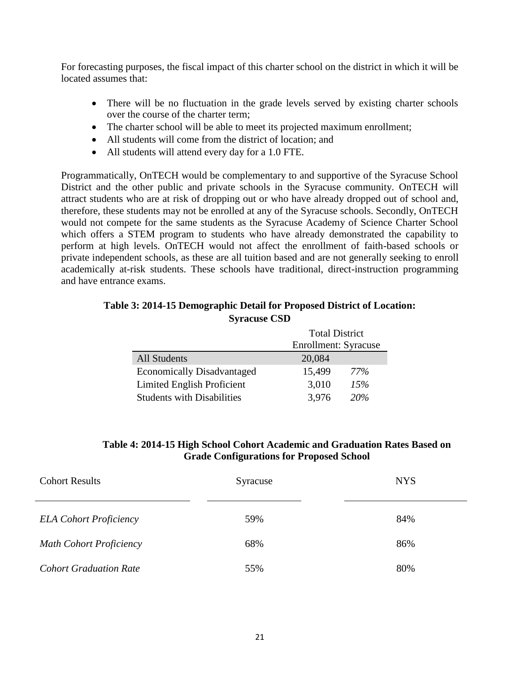For forecasting purposes, the fiscal impact of this charter school on the district in which it will be located assumes that:

- There will be no fluctuation in the grade levels served by existing charter schools over the course of the charter term;
- The charter school will be able to meet its projected maximum enrollment;
- All students will come from the district of location; and
- All students will attend every day for a 1.0 FTE.

Programmatically, OnTECH would be complementary to and supportive of the Syracuse School District and the other public and private schools in the Syracuse community. OnTECH will attract students who are at risk of dropping out or who have already dropped out of school and, therefore, these students may not be enrolled at any of the Syracuse schools. Secondly, OnTECH would not compete for the same students as the Syracuse Academy of Science Charter School which offers a STEM program to students who have already demonstrated the capability to perform at high levels. OnTECH would not affect the enrollment of faith-based schools or private independent schools, as these are all tuition based and are not generally seeking to enroll academically at-risk students. These schools have traditional, direct-instruction programming and have entrance exams.

#### **Table 3: 2014-15 Demographic Detail for Proposed District of Location: Syracuse CSD**

|                                   | <b>Total District</b> |     |  |
|-----------------------------------|-----------------------|-----|--|
|                                   | Enrollment: Syracuse  |     |  |
| <b>All Students</b>               | 20,084                |     |  |
| <b>Economically Disadvantaged</b> | 15,499                | 77% |  |
| Limited English Proficient        | 3,010                 | 15% |  |
| <b>Students with Disabilities</b> | 3,976                 | 20% |  |

## **Table 4: 2014-15 High School Cohort Academic and Graduation Rates Based on Grade Configurations for Proposed School**

| <b>Cohort Results</b>          | Syracuse | <b>NYS</b> |
|--------------------------------|----------|------------|
| <b>ELA Cohort Proficiency</b>  | 59%      | 84%        |
| <b>Math Cohort Proficiency</b> | 68%      | 86%        |
| <b>Cohort Graduation Rate</b>  | 55%      | 80%        |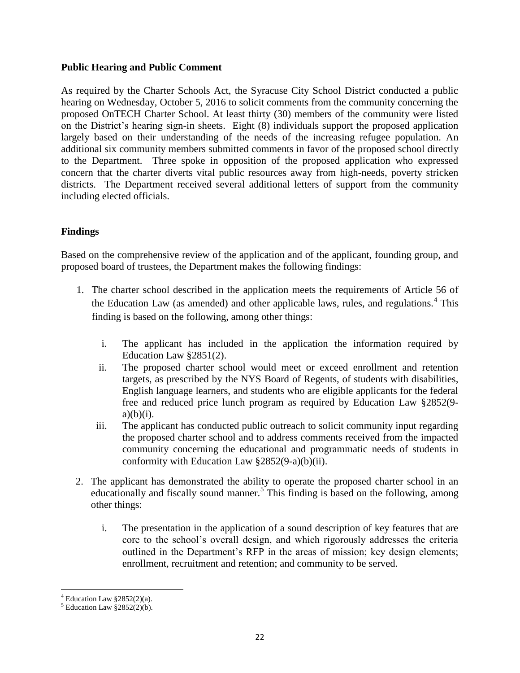#### **Public Hearing and Public Comment**

As required by the Charter Schools Act, the Syracuse City School District conducted a public hearing on Wednesday, October 5, 2016 to solicit comments from the community concerning the proposed OnTECH Charter School. At least thirty (30) members of the community were listed on the District's hearing sign-in sheets. Eight (8) individuals support the proposed application largely based on their understanding of the needs of the increasing refugee population. An additional six community members submitted comments in favor of the proposed school directly to the Department. Three spoke in opposition of the proposed application who expressed concern that the charter diverts vital public resources away from high-needs, poverty stricken districts. The Department received several additional letters of support from the community including elected officials.

# **Findings**

Based on the comprehensive review of the application and of the applicant, founding group, and proposed board of trustees, the Department makes the following findings:

- 1. The charter school described in the application meets the requirements of Article 56 of the Education Law (as amended) and other applicable laws, rules, and regulations.<sup>4</sup> This finding is based on the following, among other things:
	- i. The applicant has included in the application the information required by Education Law §2851(2).
	- ii. The proposed charter school would meet or exceed enrollment and retention targets, as prescribed by the NYS Board of Regents, of students with disabilities, English language learners, and students who are eligible applicants for the federal free and reduced price lunch program as required by Education Law §2852(9  $a)(b)(i)$ .
	- iii. The applicant has conducted public outreach to solicit community input regarding the proposed charter school and to address comments received from the impacted community concerning the educational and programmatic needs of students in conformity with Education Law §2852(9-a)(b)(ii).
- 2. The applicant has demonstrated the ability to operate the proposed charter school in an educationally and fiscally sound manner.<sup>5</sup> This finding is based on the following, among other things:
	- i. The presentation in the application of a sound description of key features that are core to the school's overall design, and which rigorously addresses the criteria outlined in the Department's RFP in the areas of mission; key design elements; enrollment, recruitment and retention; and community to be served.

 $\overline{a}$ 

 $4$  Education Law §2852(2)(a).

 $5$  Education Law  $2852(2)(b)$ .